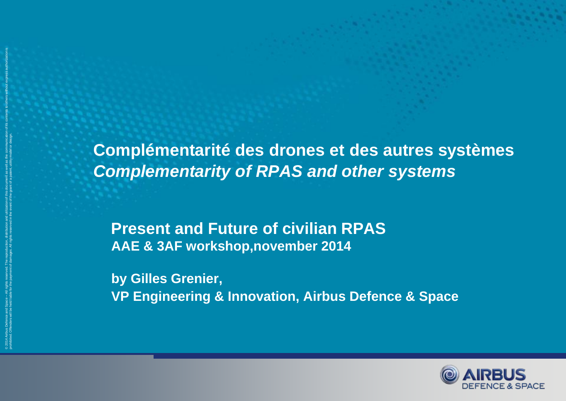**Complémentarité des drones et des autres systèmes** *Complementarity of RPAS and other systems*

**Present and Future of civilian RPAS AAE & 3AF workshop,november 2014**

© 2014 Airbus Defence and Space – All rights reserved. The reproduction, distribution and utilization of this document as well as the communication of its contents to others without express authorization is

prohibited. Offenders will be held liable for the payment of damages. All rights reserved in the event of the grant of a patent, utility model or design.

**by Gilles Grenier, VP Engineering & Innovation, Airbus Defence & Space**

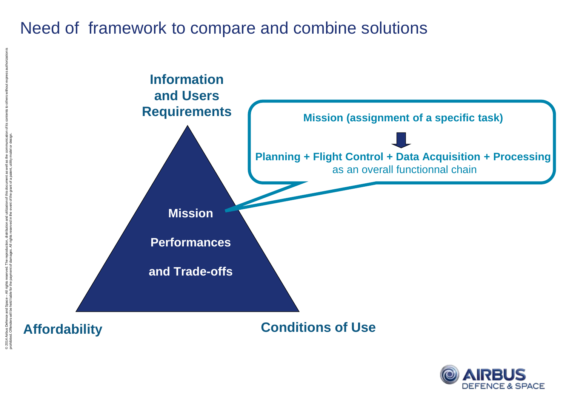#### Need of framework to compare and combine solutions



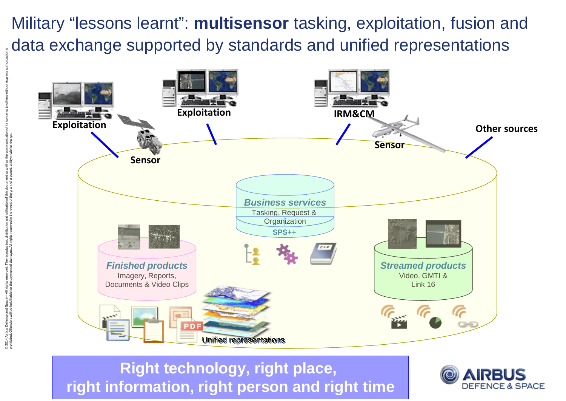Military "lessons learnt": **multisensor** tasking, exploitation, fusion and data exchange supported by standards and unified representations



**Right technology, right place, right information, right person and right time**

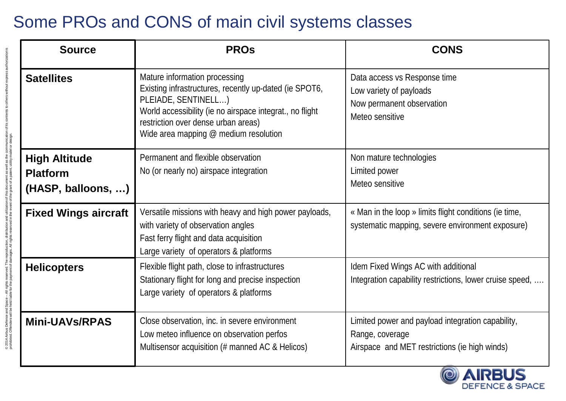# Some PROs and CONS of main civil systems classes

© 2014 Airbus Defence and Space – All rights reserved. The reproduction, distribution and utilization of this document as well as the communication of its contents to others without express authorization is

© 2014 Airbus Defence and Space – All rights reserved. The reproduction, distribution and utilization of this document as well as the communication of its contents to others without express authorization is<br>prohibited. Off

prohibited. Offenders will be held liable for the payment of damages. All rights reserved in the event of the grant of a patent, utility model or design.

| <b>Source</b>                                                 | <b>PROS</b>                                                                                                                                                                                                                                                  | <b>CONS</b>                                                                                                           |
|---------------------------------------------------------------|--------------------------------------------------------------------------------------------------------------------------------------------------------------------------------------------------------------------------------------------------------------|-----------------------------------------------------------------------------------------------------------------------|
| <b>Satellites</b>                                             | Mature information processing<br>Existing infrastructures, recently up-dated (ie SPOT6,<br>PLEIADE, SENTINELL)<br>World accessibility (ie no airspace integrat., no flight<br>restriction over dense urban areas)<br>Wide area mapping $@$ medium resolution | Data access vs Response time<br>Low variety of payloads<br>Now permanent observation<br>Meteo sensitive               |
| <b>High Altitude</b><br><b>Platform</b><br>(HASP, balloons, ) | Permanent and flexible observation<br>No (or nearly no) airspace integration                                                                                                                                                                                 | Non mature technologies<br>Limited power<br>Meteo sensitive                                                           |
| <b>Fixed Wings aircraft</b>                                   | Versatile missions with heavy and high power payloads,<br>with variety of observation angles<br>Fast ferry flight and data acquisition<br>Large variety of operators & platforms                                                                             | « Man in the loop » limits flight conditions (ie time,<br>systematic mapping, severe environment exposure)            |
| <b>Helicopters</b>                                            | Flexible flight path, close to infrastructures<br>Stationary flight for long and precise inspection<br>Large variety of operators & platforms                                                                                                                | Idem Fixed Wings AC with additional<br>Integration capability restrictions, lower cruise speed,                       |
| <b>Mini-UAVs/RPAS</b>                                         | Close observation, inc. in severe environment<br>Low meteo influence on observation perfos<br>Multisensor acquisition (# manned AC & Helicos)                                                                                                                | Limited power and payload integration capability,<br>Range, coverage<br>Airspace and MET restrictions (ie high winds) |

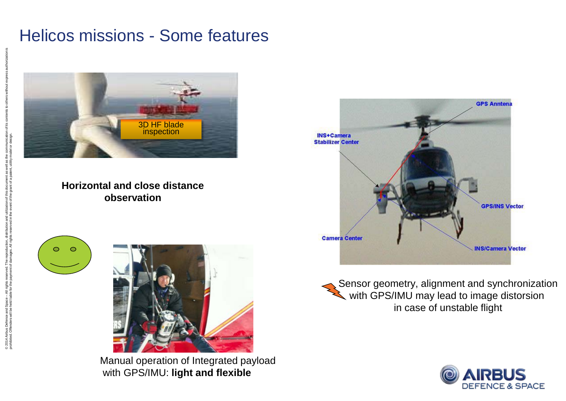#### Helicos missions - Some features



#### **Horizontal and close distance observation**

 $\circ$ 



Manual operation of Integrated payload with GPS/IMU: **light and flexible**



Sensor geometry, alignment and synchronization with GPS/IMU may lead to image distorsion in case of unstable flight

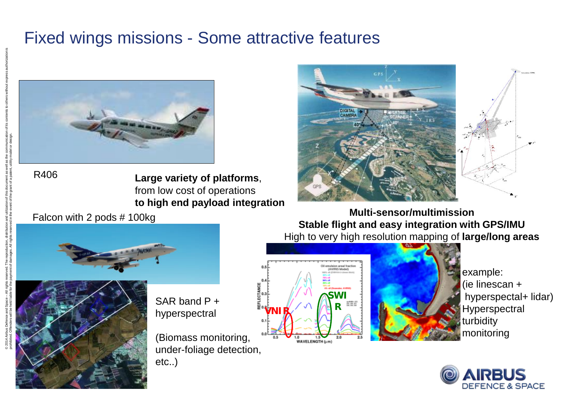#### Fixed wings missions - Some attractive features



**Large variety of platforms**, from low cost of operations **to high end payload integration**



Falcon with 2 pods # 100kg

**Multi-sensor/multimission Stable flight and easy integration with GPS/IMU**  High to very high resolution mapping of **large/long areas**



SAR band P + hyperspectral (Biomass monitoring,

under-foliage detection, etc..)





example: (ie linescan + hyperspectal+ lidar) **Hyperspectral** turbidity monitoring



R406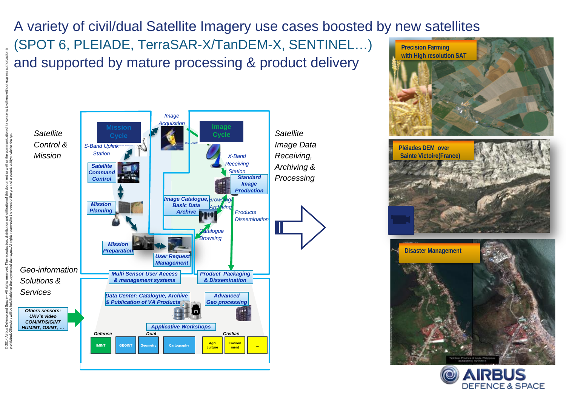A variety of civil/dual Satellite Imagery use cases boosted by new satellites (SPOT 6, PLEIADE, TerraSAR-X/TanDEM-X, SENTINEL…) and supported by mature processing & product delivery **Precision Farming with High resolution SAT**





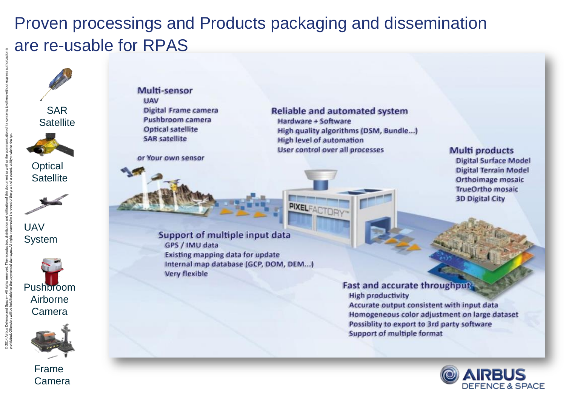# Proven processings and Products packaging and dissemination are re-usable for RPAS





Frame Camera Multi-sensor **UAV Digital Frame camera** Pushbroom camera **Optical satellite SAR satellite** 

or Your own sensor

**Reliable and automated system** Hardware + Software High quality algorithms (DSM, Bundle...) **High level of automation** User control over all processes

**PIXELFACTORY** 

**Multi products Digital Surface Model Digital Terrain Model** Orthoimage mosaic **TrueOrtho mosaic 3D Digital City** 

Support of multiple input data GPS / IMU data **Existing mapping data for update** Internal map database (GCP, DOM, DEM...) **Very flexible** 

> **Fast and accurate throughput High productivity** Accurate output consistent with input data Homogeneous color adjustment on large dataset Possiblity to export to 3rd party software Support of multiple format

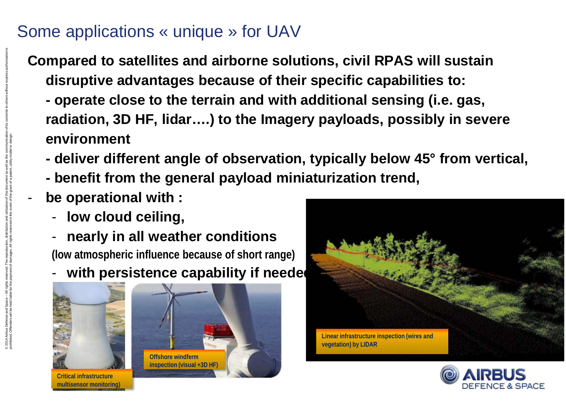### Some applications « unique » for UAV

**Compared to satellites and airborne solutions, civil RPAS will sustain disruptive advantages because of their specific capabilities to:**

- **- operate close to the terrain and with additional sensing (i.e. gas, radiation, 3D HF, lidar….) to the Imagery payloads, possibly in severe environment**
- **- deliver different angle of observation, typically below 45° from vertical,**
- **- benefit from the general payload miniaturization trend,**
- **be operational with :**

© 2014 Airbus Defence and Space – All rights reserved. The reproduction, distribution and utilization of this document as well as the communication of its contents to others without express authorization is

prohibited. Offenders will be held liable for the payment of damages. All rights reserved in the event of the grant of a patent, utility model or design.

- **low cloud ceiling,**
- **nearly in all weather conditions**

**(low atmospheric influence because of short range)**

with persistence capability if needed



**multisensor monitoring)**





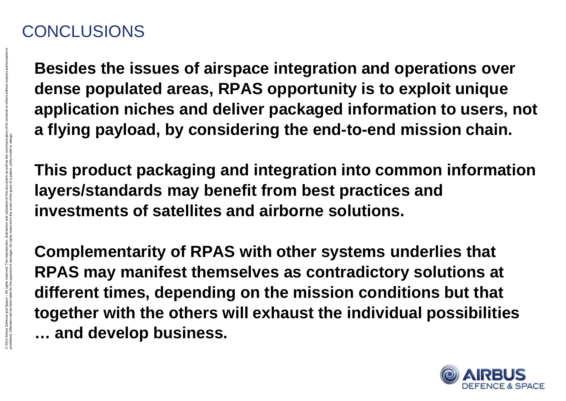## **CONCLUSIONS**

© 2014 Airbus Defence and Space – All rights reserved. The reproduction, distribution and utilization of this document as well as the communication of its contents to others without express authorization is

prohibited. Offenders will be held liable for the payment of damages. All rights reserved in the event of the grant of a patent, utility model or design.

**Besides the issues of airspace integration and operations over dense populated areas, RPAS opportunity is to exploit unique application niches and deliver packaged information to users, not a flying payload, by considering the end-to-end mission chain.**

**This product packaging and integration into common information layers/standards may benefit from best practices and investments of satellites and airborne solutions.**

**Complementarity of RPAS with other systems underlies that RPAS may manifest themselves as contradictory solutions at different times, depending on the mission conditions but that together with the others will exhaust the individual possibilities … and develop business.**